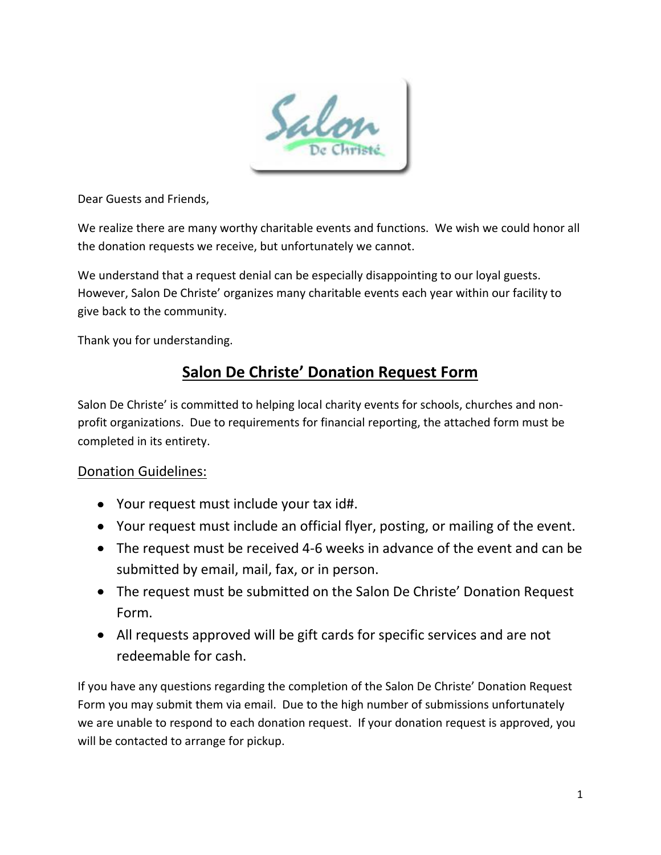

Dear Guests and Friends,

We realize there are many worthy charitable events and functions. We wish we could honor all the donation requests we receive, but unfortunately we cannot.

We understand that a request denial can be especially disappointing to our loyal guests. However, Salon De Christe' organizes many charitable events each year within our facility to give back to the community.

Thank you for understanding.

### **Salon De Christe' Donation Request Form**

Salon De Christe' is committed to helping local charity events for schools, churches and nonprofit organizations. Due to requirements for financial reporting, the attached form must be completed in its entirety.

#### Donation Guidelines:

- Your request must include your tax id#.
- Your request must include an official flyer, posting, or mailing of the event.
- The request must be received 4-6 weeks in advance of the event and can be submitted by email, mail, fax, or in person.
- The request must be submitted on the Salon De Christe' Donation Request Form.
- All requests approved will be gift cards for specific services and are not redeemable for cash.

If you have any questions regarding the completion of the Salon De Christe' Donation Request Form you may submit them via email. Due to the high number of submissions unfortunately we are unable to respond to each donation request. If your donation request is approved, you will be contacted to arrange for pickup.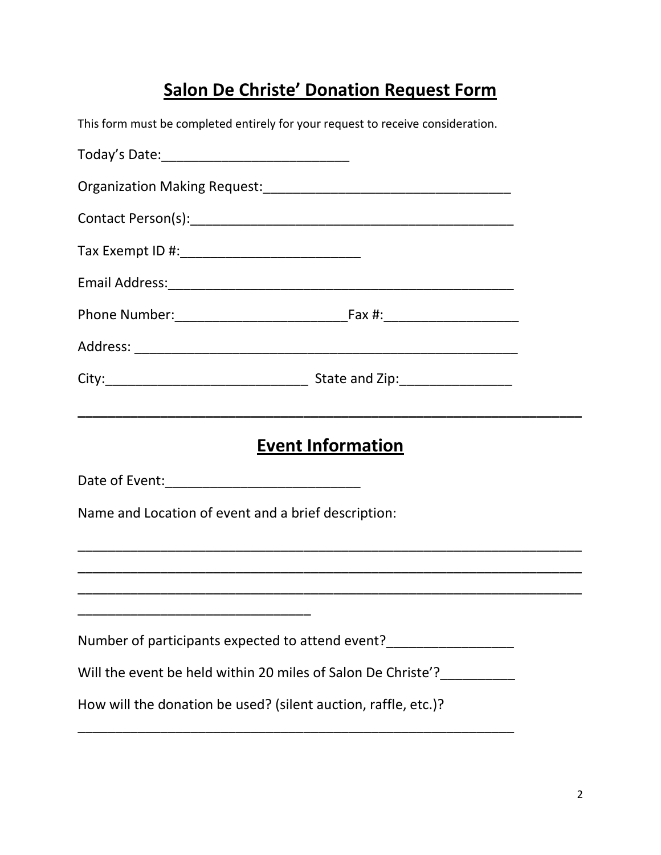# **Salon De Christe' Donation Request Form**

|                                                                | This form must be completed entirely for your request to receive consideration. |  |
|----------------------------------------------------------------|---------------------------------------------------------------------------------|--|
|                                                                |                                                                                 |  |
|                                                                |                                                                                 |  |
|                                                                |                                                                                 |  |
|                                                                |                                                                                 |  |
|                                                                |                                                                                 |  |
|                                                                |                                                                                 |  |
|                                                                |                                                                                 |  |
|                                                                | <b>Event Information</b>                                                        |  |
|                                                                |                                                                                 |  |
| Name and Location of event and a brief description:            |                                                                                 |  |
|                                                                |                                                                                 |  |
|                                                                |                                                                                 |  |
|                                                                |                                                                                 |  |
|                                                                | Will the event be held within 20 miles of Salon De Christe'?                    |  |
| How will the donation be used? (silent auction, raffle, etc.)? |                                                                                 |  |
|                                                                |                                                                                 |  |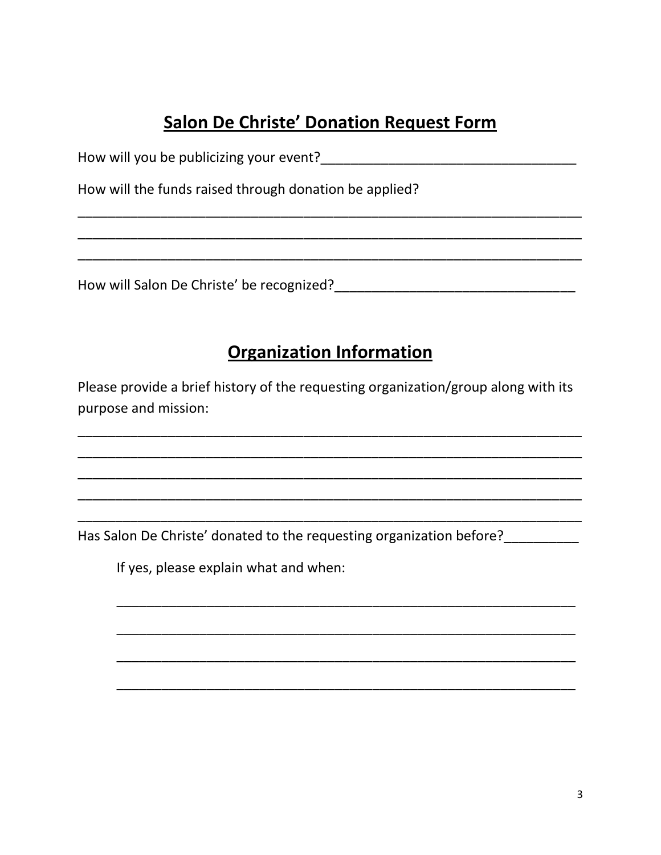## **Salon De Christe' Donation Request Form**

| How will you be publicizing your event? |  |
|-----------------------------------------|--|
|-----------------------------------------|--|

How will the funds raised through donation be applied?

## **Organization Information**

Please provide a brief history of the requesting organization/group along with its purpose and mission:

If yes, please explain what and when: